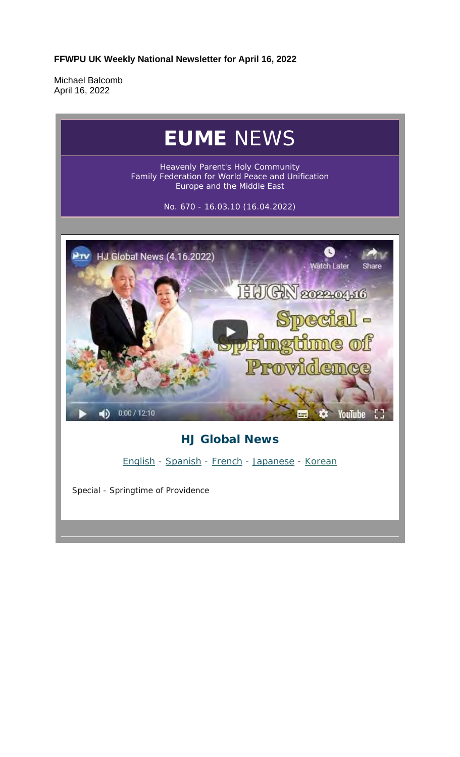**FFWPU UK Weekly National Newsletter for April 16, 2022**

Michael Balcomb April 16, 2022

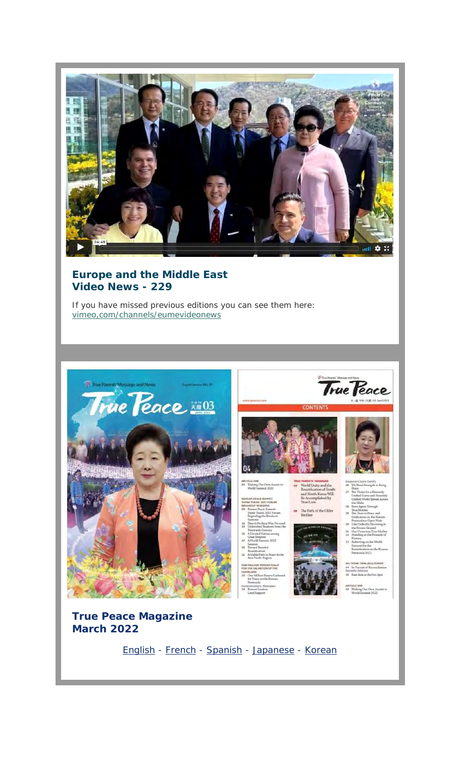

## **Europe and the Middle East Video News - 229**

If you have missed previous editions you can see them here: vimeo,com/channels/eumevideonews



English - French - Spanish - Japanese - Korean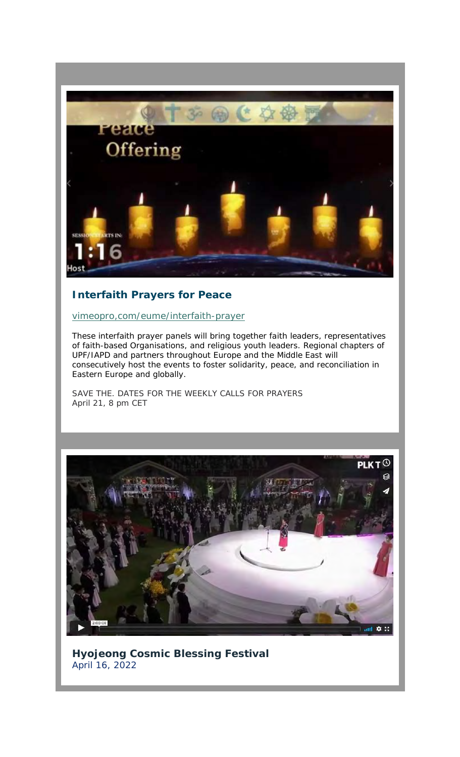

## **Interfaith Prayers for Peace**

vimeopro,com/eume/interfaith-prayer

These interfaith prayer panels will bring together faith leaders, representatives of faith-based Organisations, and religious youth leaders. Regional chapters of UPF/IAPD and partners throughout Europe and the Middle East will consecutively host the events to foster solidarity, peace, and reconciliation in Eastern Europe and globally.

SAVE THE. DATES FOR THE WEEKLY CALLS FOR PRAYERS April 21, 8 pm CET



**Hyojeong Cosmic Blessing Festival** April 16, 2022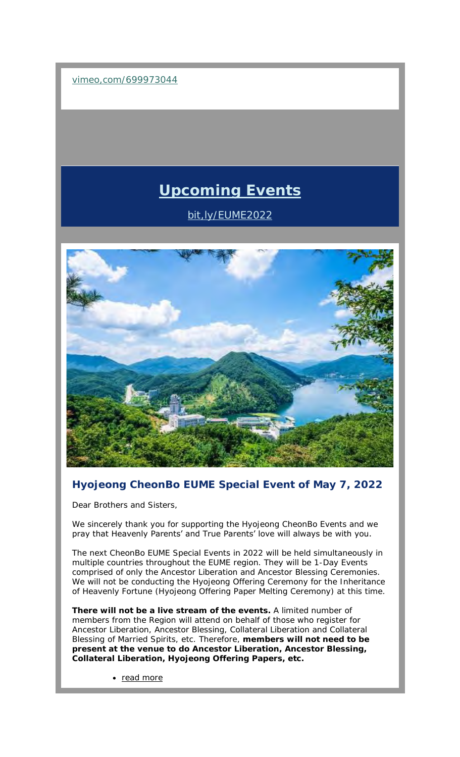vimeo,com/699973044

# **Upcoming Events**

bit,ly/EUME2022



# **Hyojeong CheonBo EUME Special Event of May 7, 2022**

Dear Brothers and Sisters,

We sincerely thank you for supporting the Hyojeong CheonBo Events and we pray that Heavenly Parents' and True Parents' love will always be with you.

The next CheonBo EUME Special Events in 2022 will be held simultaneously in multiple countries throughout the EUME region. They will be 1-Day Events comprised of only the Ancestor Liberation and Ancestor Blessing Ceremonies. We will not be conducting the Hyojeong Offering Ceremony for the Inheritance of Heavenly Fortune (Hyojeong Offering Paper Melting Ceremony) at this time.

**There will not be a live stream of the events.** A limited number of members from the Region will attend on behalf of those who register for Ancestor Liberation, Ancestor Blessing, Collateral Liberation and Collateral Blessing of Married Spirits, etc. Therefore, **members will not need to be present at the venue to do Ancestor Liberation, Ancestor Blessing, Collateral Liberation, Hyojeong Offering Papers, etc.**

• read more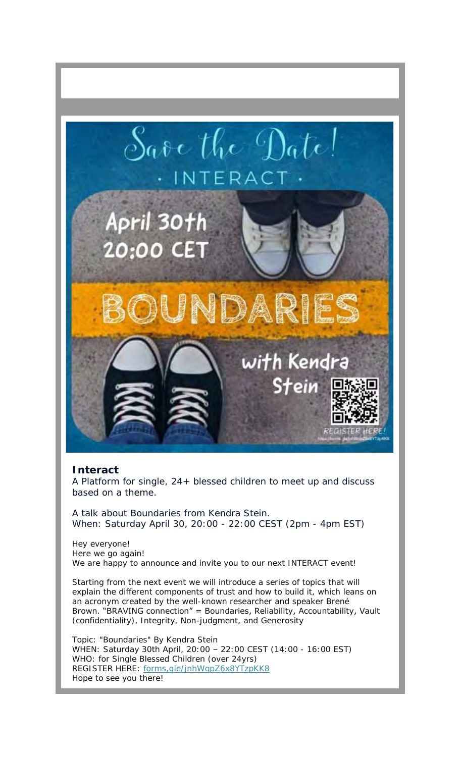

#### **Interact**

A Platform for single, 24+ blessed children to meet up and discuss based on a theme.

A talk about Boundaries from Kendra Stein. When: Saturday April 30, 20:00 - 22:00 CEST (2pm - 4pm EST)

Hey everyone! Here we go again! We are happy to announce and invite you to our next INTERACT event!

Starting from the next event we will introduce a series of topics that will explain the different components of trust and how to build it, which leans on an acronym created by the well-known researcher and speaker Brené Brown. "BRAVING connection" = Boundaries, Reliability, Accountability, Vault (confidentiality), Integrity, Non-judgment, and Generosity

Topic: "Boundaries" By Kendra Stein WHEN: Saturday 30th April, 20:00 – 22:00 CEST (14:00 - 16:00 EST) WHO: for Single Blessed Children (over 24yrs) REGISTER HERE: forms,gle/jnhWqpZ6x8YTzpKK8 Hope to see you there!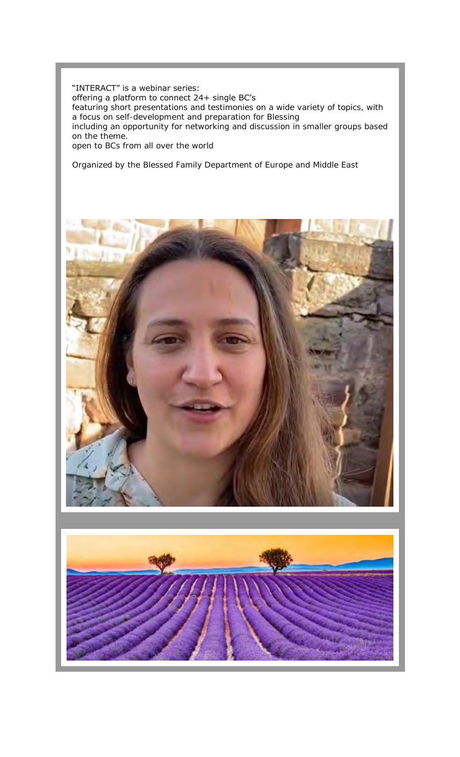#### "INTERACT" is a webinar series: offering a platform to connect 24+ single BC's featuring short presentations and testimonies on a wide variety of topics, with a focus on self-development and preparation for Blessing including an opportunity for networking and discussion in smaller groups based on the theme.

open to BCs from all over the world

Organized by the Blessed Family Department of Europe and Middle East